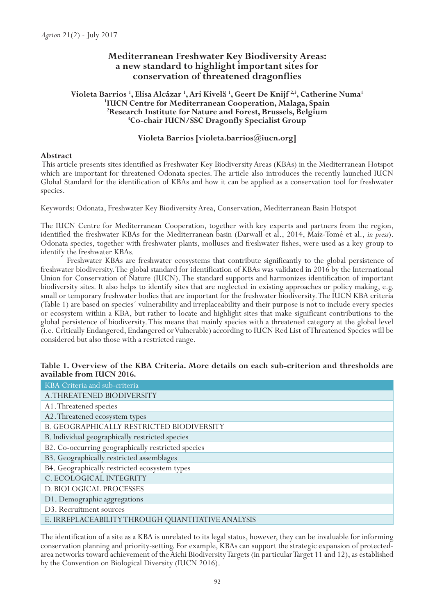# **Mediterranean Freshwater Key Biodiversity Areas: a new standard to highlight important sites for conservation of threatened dragonflies**

# **Violeta Barrios 1 , Elisa Alcázar 1 , Ari Kivelä 1 , Geert De Knijf 2,3, Catherine Numa1 1 IUCN Centre for Mediterranean Cooperation, Malaga, Spain 2 Research Institute for Nature and Forest, Brussels, Belgium <sup>3</sup> Co-chair IUCN/SSC Dragonfly Specialist Group**

# **Violeta Barrios [violeta.barrios@iucn.org]**

# **Abstract**

 This article presents sites identified as Freshwater Key Biodiversity Areas (KBAs) in the Mediterranean Hotspot which are important for threatened Odonata species. The article also introduces the recently launched IUCN Global Standard for the identification of KBAs and how it can be applied as a conservation tool for freshwater species.

Keywords: Odonata, Freshwater Key Biodiversity Area, Conservation, Mediterranean Basin Hotspot

The IUCN Centre for Mediterranean Cooperation, together with key experts and partners from the region, identified the freshwater KBAs for the Mediterranean basin (Darwall et al., 2014, Maíz-Tomé et al., *in press*). Odonata species, together with freshwater plants, molluscs and freshwater fishes, were used as a key group to identify the freshwater KBAs.

 Freshwater KBAs are freshwater ecosystems that contribute significantly to the global persistence of freshwater biodiversity. The global standard for identification of KBAs was validated in 2016 by the International Union for Conservation of Nature (IUCN). The standard supports and harmonizes identification of important biodiversity sites. It also helps to identify sites that are neglected in existing approaches or policy making, e.g. small or temporary freshwater bodies that are important for the freshwater biodiversity. The IUCN KBA criteria (Table 1) are based on species´ vulnerability and irreplaceability and their purpose is not to include every species or ecosystem within a KBA, but rather to locate and highlight sites that make significant contributions to the global persistence of biodiversity. This means that mainly species with a threatened category at the global level (i.e. Critically Endangered, Endangered or Vulnerable) according to IUCN Red List of Threatened Species will be considered but also those with a restricted range.

# **Table 1. Overview of the KBA Criteria. More details on each sub-criterion and thresholds are available from IUCN 2016.**

| KBA Criteria and sub-criteria                      |
|----------------------------------------------------|
| A.THREATENED BIODIVERSITY                          |
| A1. Threatened species                             |
| A2. Threatened ecosystem types                     |
| B. GEOGRAPHICALLY RESTRICTED BIODIVERSITY          |
| B. Individual geographically restricted species    |
| B2. Co-occurring geographically restricted species |
| B3. Geographically restricted assemblages          |
| B4. Geographically restricted ecosystem types      |
| C. ECOLOGICAL INTEGRITY                            |
| D. BIOLOGICAL PROCESSES                            |
| D1. Demographic aggregations                       |
| D3. Recruitment sources                            |
| E. IRREPLACEABILITY THROUGH QUANTITATIVE ANALYSIS  |

The identification of a site as a KBA is unrelated to its legal status, however, they can be invaluable for informing conservation planning and priority-setting. For example, KBAs can support the strategic expansion of protectedarea networks toward achievement of the Aichi Biodiversity Targets (in particular Target 11 and 12), as established by the Convention on Biological Diversity (IUCN 2016).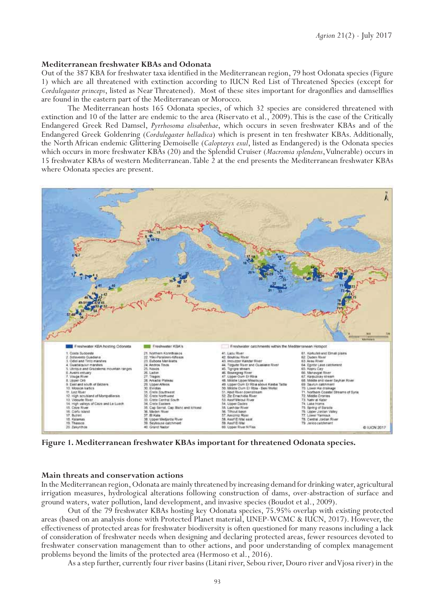#### **Mediterranean freshwater KBAs and Odonata**

Out of the 387 KBA for freshwater taxa identified in the Mediterranean region, 79 host Odonata species (Figure 1) which are all threatened with extinction according to IUCN Red List of Threatened Species (except for *Cordulegaster princeps*, listed as Near Threatened). Most of these sites important for dragonflies and damselflies are found in the eastern part of the Mediterranean or Morocco.

 The Mediterranean hosts 165 Odonata species, of which 32 species are considered threatened with extinction and 10 of the latter are endemic to the area (Riservato et al., 2009). This is the case of the Critically Endangered Greek Red Damsel, *Pyrrhosoma elisabethae*, which occurs in seven freshwater KBAs and of the Endangered Greek Goldenring (*Cordulegaster helladica*) which is present in ten freshwater KBAs. Additionally, the North African endemic Glittering Demoiselle (*Calopteryx exul*, listed as Endangered) is the Odonata species which occurs in more freshwater KBAs (20) and the Splendid Cruiser (*Macromia splendens*, Vulnerable) occurs in 15 freshwater KBAs of western Mediterranean. Table 2 at the end presents the Mediterranean freshwater KBAs where Odonata species are present.



**Figure 1. Mediterranean freshwater KBAs important for threatened Odonata species.**

#### **Main threats and conservation actions**

In the Mediterranean region, Odonata are mainly threatened by increasing demand for drinking water, agricultural irrigation measures, hydrological alterations following construction of dams, over-abstraction of surface and ground waters, water pollution, land development, and invasive species (Boudot et al., 2009).

 Out of the 79 freshwater KBAs hosting key Odonata species, 75.95% overlap with existing protected areas (based on an analysis done with Protected Planet material, UNEP-WCMC & IUCN, 2017). However, the effectiveness of protected areas for freshwater biodiversity is often questioned for many reasons including a lack of consideration of freshwater needs when designing and declaring protected areas, fewer resources devoted to freshwater conservation management than to other actions, and poor understanding of complex management problems beyond the limits of the protected area (Hermoso et al., 2016).

As a step further, currently four river basins (Litani river, Sebou river, Douro river and Vjosa river) in the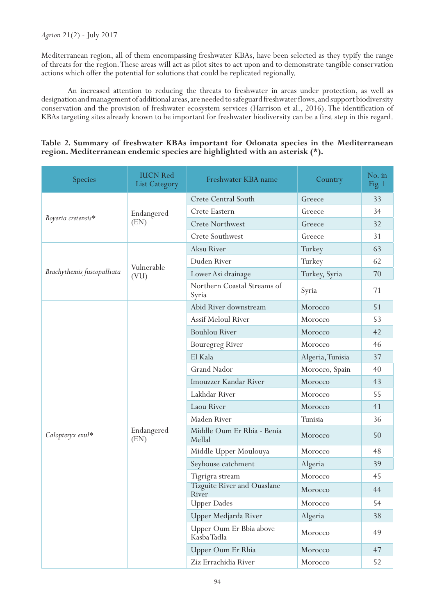Mediterranean region, all of them encompassing freshwater KBAs, have been selected as they typify the range of threats for the region. These areas will act as pilot sites to act upon and to demonstrate tangible conservation actions which offer the potential for solutions that could be replicated regionally.

 An increased attention to reducing the threats to freshwater in areas under protection, as well as designation and management of additional areas, are needed to safeguard freshwater flows, and support biodiversity conservation and the provision of freshwater ecosystem services (Harrison et al., 2016). The identification of KBAs targeting sites already known to be important for freshwater biodiversity can be a first step in this regard.

# **Table 2. Summary of freshwater KBAs important for Odonata species in the Mediterranean region. Mediterranean endemic species are highlighted with an asterisk (\*).**

| Species                    | <b>IUCN Red</b><br><b>List Category</b> | Freshwater KBA name                         | Country          | No. in<br>Fig. 1 |
|----------------------------|-----------------------------------------|---------------------------------------------|------------------|------------------|
| Boyeria cretensis*         | Endangered<br>(EN)                      | Crete Central South                         | Greece           | 33               |
|                            |                                         | Crete Eastern                               | Greece           | 34               |
|                            |                                         | <b>Crete Northwest</b>                      | Greece           | 32               |
|                            |                                         | Crete Southwest                             | Greece           | 31               |
|                            | Vulnerable<br>(VU)                      | Aksu River                                  | Turkey           | 63               |
|                            |                                         | Duden River                                 | Turkey           | 62               |
| Brachythemis fuscopalliata |                                         | Lower Asi drainage                          | Turkey, Syria    | 70               |
|                            |                                         | Northern Coastal Streams of<br>Syria        | Syria            | 71               |
|                            |                                         | Abid River downstream                       | Morocco          | 51               |
|                            |                                         | Assif Meloul River                          | Morocco          | 53               |
|                            |                                         | <b>Bouhlou River</b>                        | Morocco          | 42               |
|                            |                                         | <b>Bouregreg River</b>                      | Morocco          | 46               |
|                            | Endangered<br>(EN)                      | El Kala                                     | Algeria, Tunisia | 37               |
|                            |                                         | <b>Grand Nador</b>                          | Morocco, Spain   | 40               |
|                            |                                         | Imouzzer Kandar River                       | Morocco          | 43               |
|                            |                                         | Lakhdar River                               | Morocco          | 55               |
|                            |                                         | Laou River                                  | Morocco          | 41               |
|                            |                                         | Maden River                                 | Tunisia          | 36               |
| Calopteryx exul*           |                                         | Middle Oum Er Rbia - Benia<br>Mellal        | Morocco          | 50               |
|                            |                                         | Middle Upper Moulouya                       | Morocco          | 48               |
|                            |                                         | Seybouse catchment                          | Algeria          | 39               |
|                            |                                         | Tigrigra stream                             | Morocco          | 45               |
|                            |                                         | Tizguite River and Ouaslane<br><b>River</b> | Morocco          | 44               |
|                            |                                         | <b>Upper Dades</b>                          | Morocco          | 54               |
|                            |                                         | Upper Medjarda River                        | Algeria          | 38               |
|                            |                                         | Upper Oum Er Bbia above<br>Kasba Tadla      | Morocco          | 49               |
|                            |                                         | Upper Oum Er Rbia                           | Morocco          | 47               |
|                            |                                         | Ziz Errachidia River                        | Morocco          | 52               |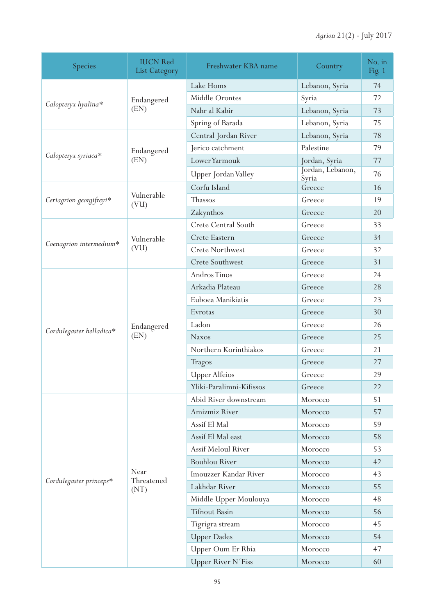| Species                  | <b>IUCN Red</b><br><b>List Category</b> | Freshwater KBA name       | Country                   | No. in<br>Fig. 1 |
|--------------------------|-----------------------------------------|---------------------------|---------------------------|------------------|
| Calopteryx hyalina*      | Endangered<br>(EN)                      | Lake Homs                 | Lebanon, Syria            | 74               |
|                          |                                         | Middle Orontes            | Syria                     | 72               |
|                          |                                         | Nahr al Kabir             | Lebanon, Syria            | 73               |
|                          |                                         | Spring of Barada          | Lebanon, Syria            | 75               |
|                          | Endangered<br>(EN)                      | Central Jordan River      | Lebanon, Syria            | 78               |
|                          |                                         | Jerico catchment          | Palestine                 | 79               |
| Calopteryx syriaca*      |                                         | Lower Yarmouk             | Jordan, Syria             | 77               |
|                          |                                         | Upper Jordan Valley       | Jordan, Lebanon,<br>Syria | 76               |
|                          |                                         | Corfu Island              | Greece                    | 16               |
| Ceriagrion georgifreyi*  | Vulnerable<br>(VU)                      | Thassos                   | Greece                    | 19               |
|                          |                                         | Zakynthos                 | Greece                    | 20               |
|                          |                                         | Crete Central South       | Greece                    | 33               |
|                          | Vulnerable                              | Crete Eastern             | Greece                    | 34               |
| Coenagrion intermedium*  | (VU)                                    | <b>Crete Northwest</b>    | Greece                    | 32               |
|                          |                                         | <b>Crete Southwest</b>    | Greece                    | 31               |
|                          |                                         | Andros Tinos              | Greece                    | 24               |
|                          |                                         | Arkadia Plateau           | Greece                    | 28               |
|                          |                                         | Euboea Manikiatis         | Greece                    | 23               |
|                          |                                         | Evrotas                   | Greece                    | 30               |
|                          | Endangered                              | Ladon                     | Greece                    | 26               |
| Cordulegaster helladica* | (EN)                                    | <b>Naxos</b>              | Greece                    | 25               |
|                          |                                         | Northern Korinthiakos     | Greece                    | 21               |
|                          |                                         | <b>Tragos</b>             | Greece                    | 27               |
|                          |                                         | <b>Upper Alfeios</b>      | Greece                    | 29               |
|                          |                                         | Yliki-Paralimni-Kifissos  | Greece                    | 22               |
|                          |                                         | Abid River downstream     | Morocco                   | 51               |
|                          |                                         | Amizmiz River             | Morocco                   | 57               |
|                          | Near<br>Threatened<br>(NT)              | Assif El Mal              | Morocco                   | 59               |
|                          |                                         | Assif El Mal east         | Morocco                   | 58               |
|                          |                                         | Assif Meloul River        | Morocco                   | 53               |
|                          |                                         | <b>Bouhlou River</b>      | Morocco                   | 42               |
|                          |                                         | Imouzzer Kandar River     | Morocco                   | 43               |
| Cordulegaster princeps*  |                                         | Lakhdar River             | Morocco                   | 55               |
|                          |                                         | Middle Upper Moulouya     | Morocco                   | 48               |
|                          |                                         | <b>Tifnout Basin</b>      | Morocco                   | 56               |
|                          |                                         | Tigrigra stream           | Morocco                   | 45               |
|                          |                                         | <b>Upper Dades</b>        | Morocco                   | 54               |
|                          |                                         | Upper Oum Er Rbia         | Morocco                   | 47               |
|                          |                                         | <b>Upper River N'Fiss</b> | Morocco                   | 60               |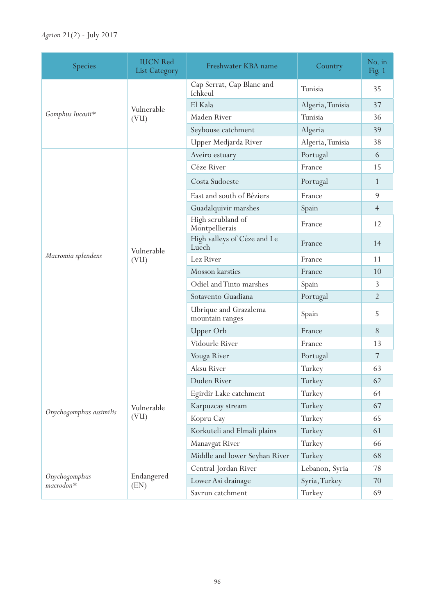# *Agrion* 21(2) - July 2017

| Species                    | <b>IUCN Red</b><br><b>List Category</b> | Freshwater KBA name                      | Country          | No. in<br>Fig. 1 |
|----------------------------|-----------------------------------------|------------------------------------------|------------------|------------------|
| Gomphus lucasii*           | Vulnerable<br>(VU)                      | Cap Serrat, Cap Blanc and<br>Ichkeul     | Tunisia          | 35               |
|                            |                                         | El Kala                                  | Algeria, Tunisia | 37               |
|                            |                                         | Maden River                              | Tunisia          | 36               |
|                            |                                         | Seybouse catchment                       | Algeria          | 39               |
|                            |                                         | Upper Medjarda River                     | Algeria, Tunisia | 38               |
|                            |                                         | Aveiro estuary                           | Portugal         | 6                |
|                            |                                         | Céze River                               | France           | 15               |
|                            |                                         | Costa Sudoeste                           | Portugal         | $\mathbf{1}$     |
|                            |                                         | East and south of Béziers                | France           | 9                |
|                            |                                         | Guadalquivir marshes                     | Spain            | $\overline{4}$   |
|                            |                                         | High scrubland of<br>Montpellierais      | France           | 12               |
|                            | Vulnerable<br>(VU)                      | High valleys of Céze and Le<br>Luech     | France           | 14               |
| Macromia splendens         |                                         | Lez River                                | France           | 11               |
|                            |                                         | <b>Mosson</b> karstics                   | France           | 10               |
|                            |                                         | Odiel and Tinto marshes                  | Spain            | 3                |
|                            |                                         | Sotavento Guadiana                       | Portugal         | $\overline{2}$   |
|                            |                                         | Ubrique and Grazalema<br>mountain ranges | Spain            | 5                |
|                            |                                         | Upper Orb                                | France           | 8                |
|                            |                                         | Vidourle River                           | France           | 13               |
|                            |                                         | Vouga River                              | Portugal         | $\overline{7}$   |
|                            | Vulnerable<br>(VU)                      | Aksu River                               | Turkey           | 63               |
|                            |                                         | Duden River                              | Turkey           | 62               |
|                            |                                         | Egirdir Lake catchment                   | Turkey           | 64               |
|                            |                                         | Karpuzcay stream                         | Turkey           | 67               |
| Onychogomphus assimilis    |                                         | Kopru Cay                                | Turkey           | 65               |
|                            |                                         | Korkuteli and Elmali plains              | Turkey           | 61               |
|                            |                                         | Manavgat River                           | Turkey           | 66               |
|                            |                                         | Middle and lower Seyhan River            | Turkey           | 68               |
|                            | Endangered<br>(EN)                      | Central Jordan River                     | Lebanon, Syria   | 78               |
| Onychogomphus<br>macrodon* |                                         | Lower Asi drainage                       | Syria, Turkey    | 70               |
|                            |                                         | Savrun catchment                         | Turkey           | 69               |